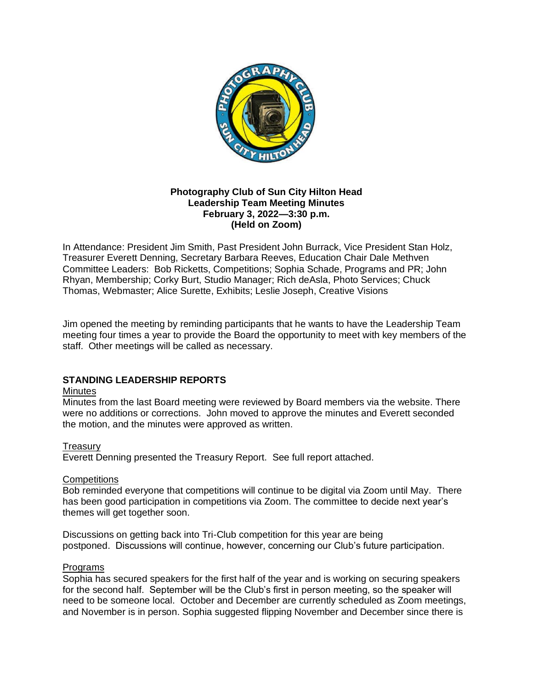

## **Photography Club of Sun City Hilton Head Leadership Team Meeting Minutes February 3, 2022—3:30 p.m. (Held on Zoom)**

In Attendance: President Jim Smith, Past President John Burrack, Vice President Stan Holz, Treasurer Everett Denning, Secretary Barbara Reeves, Education Chair Dale Methven Committee Leaders: Bob Ricketts, Competitions; Sophia Schade, Programs and PR; John Rhyan, Membership; Corky Burt, Studio Manager; Rich deAsla, Photo Services; Chuck Thomas, Webmaster; Alice Surette, Exhibits; Leslie Joseph, Creative Visions

Jim opened the meeting by reminding participants that he wants to have the Leadership Team meeting four times a year to provide the Board the opportunity to meet with key members of the staff. Other meetings will be called as necessary.

## **STANDING LEADERSHIP REPORTS**

## **Minutes**

Minutes from the last Board meeting were reviewed by Board members via the website. There were no additions or corrections. John moved to approve the minutes and Everett seconded the motion, and the minutes were approved as written.

## **Treasury**

Everett Denning presented the Treasury Report. See full report attached.

## **Competitions**

Bob reminded everyone that competitions will continue to be digital via Zoom until May. There has been good participation in competitions via Zoom. The committee to decide next year's themes will get together soon.

Discussions on getting back into Tri-Club competition for this year are being postponed. Discussions will continue, however, concerning our Club's future participation.

## Programs

Sophia has secured speakers for the first half of the year and is working on securing speakers for the second half. September will be the Club's first in person meeting, so the speaker will need to be someone local. October and December are currently scheduled as Zoom meetings, and November is in person. Sophia suggested flipping November and December since there is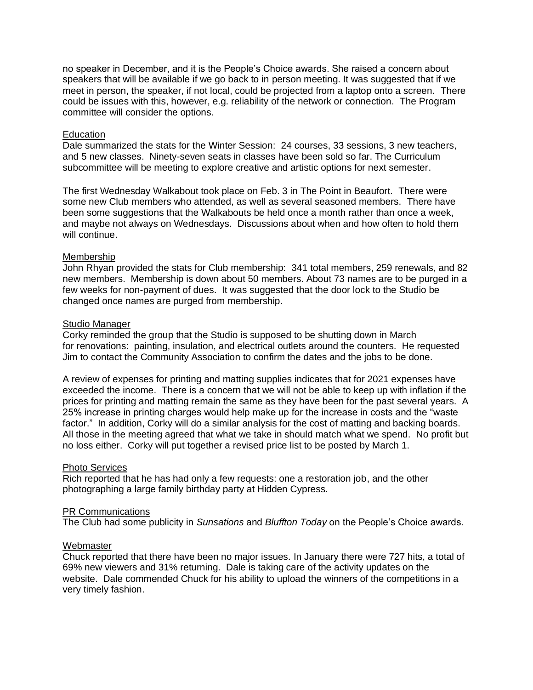no speaker in December, and it is the People's Choice awards. She raised a concern about speakers that will be available if we go back to in person meeting. It was suggested that if we meet in person, the speaker, if not local, could be projected from a laptop onto a screen. There could be issues with this, however, e.g. reliability of the network or connection. The Program committee will consider the options.

#### **Education**

Dale summarized the stats for the Winter Session: 24 courses, 33 sessions, 3 new teachers, and 5 new classes. Ninety-seven seats in classes have been sold so far. The Curriculum subcommittee will be meeting to explore creative and artistic options for next semester.

The first Wednesday Walkabout took place on Feb. 3 in The Point in Beaufort. There were some new Club members who attended, as well as several seasoned members. There have been some suggestions that the Walkabouts be held once a month rather than once a week, and maybe not always on Wednesdays. Discussions about when and how often to hold them will continue.

#### Membership

John Rhyan provided the stats for Club membership: 341 total members, 259 renewals, and 82 new members. Membership is down about 50 members. About 73 names are to be purged in a few weeks for non-payment of dues. It was suggested that the door lock to the Studio be changed once names are purged from membership.

#### Studio Manager

Corky reminded the group that the Studio is supposed to be shutting down in March for renovations: painting, insulation, and electrical outlets around the counters. He requested Jim to contact the Community Association to confirm the dates and the jobs to be done.

A review of expenses for printing and matting supplies indicates that for 2021 expenses have exceeded the income. There is a concern that we will not be able to keep up with inflation if the prices for printing and matting remain the same as they have been for the past several years. A 25% increase in printing charges would help make up for the increase in costs and the "waste factor." In addition, Corky will do a similar analysis for the cost of matting and backing boards. All those in the meeting agreed that what we take in should match what we spend. No profit but no loss either. Corky will put together a revised price list to be posted by March 1.

## Photo Services

Rich reported that he has had only a few requests: one a restoration job, and the other photographing a large family birthday party at Hidden Cypress.

## PR Communications

The Club had some publicity in *Sunsations* and *Bluffton Today* on the People's Choice awards.

## **Webmaster**

Chuck reported that there have been no major issues. In January there were 727 hits, a total of 69% new viewers and 31% returning. Dale is taking care of the activity updates on the website. Dale commended Chuck for his ability to upload the winners of the competitions in a very timely fashion.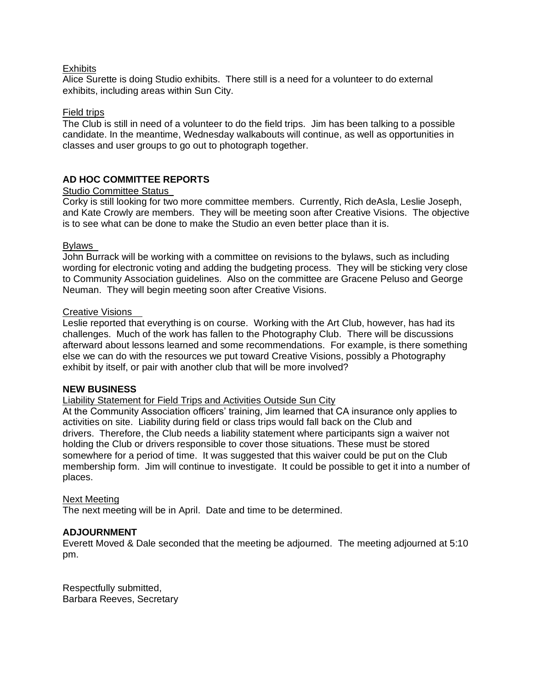## **Exhibits**

Alice Surette is doing Studio exhibits. There still is a need for a volunteer to do external exhibits, including areas within Sun City.

## Field trips

The Club is still in need of a volunteer to do the field trips. Jim has been talking to a possible candidate. In the meantime, Wednesday walkabouts will continue, as well as opportunities in classes and user groups to go out to photograph together.

## **AD HOC COMMITTEE REPORTS**

## Studio Committee Status

Corky is still looking for two more committee members. Currently, Rich deAsla, Leslie Joseph, and Kate Crowly are members. They will be meeting soon after Creative Visions. The objective is to see what can be done to make the Studio an even better place than it is.

## Bylaws

John Burrack will be working with a committee on revisions to the bylaws, such as including wording for electronic voting and adding the budgeting process. They will be sticking very close to Community Association guidelines. Also on the committee are Gracene Peluso and George Neuman. They will begin meeting soon after Creative Visions.

## Creative Visions

Leslie reported that everything is on course. Working with the Art Club, however, has had its challenges. Much of the work has fallen to the Photography Club. There will be discussions afterward about lessons learned and some recommendations. For example, is there something else we can do with the resources we put toward Creative Visions, possibly a Photography exhibit by itself, or pair with another club that will be more involved?

## **NEW BUSINESS**

## Liability Statement for Field Trips and Activities Outside Sun City

At the Community Association officers' training, Jim learned that CA insurance only applies to activities on site. Liability during field or class trips would fall back on the Club and drivers. Therefore, the Club needs a liability statement where participants sign a waiver not holding the Club or drivers responsible to cover those situations. These must be stored somewhere for a period of time. It was suggested that this waiver could be put on the Club membership form. Jim will continue to investigate. It could be possible to get it into a number of places.

## Next Meeting

The next meeting will be in April. Date and time to be determined.

## **ADJOURNMENT**

Everett Moved & Dale seconded that the meeting be adjourned. The meeting adjourned at 5:10 pm.

Respectfully submitted, Barbara Reeves, Secretary